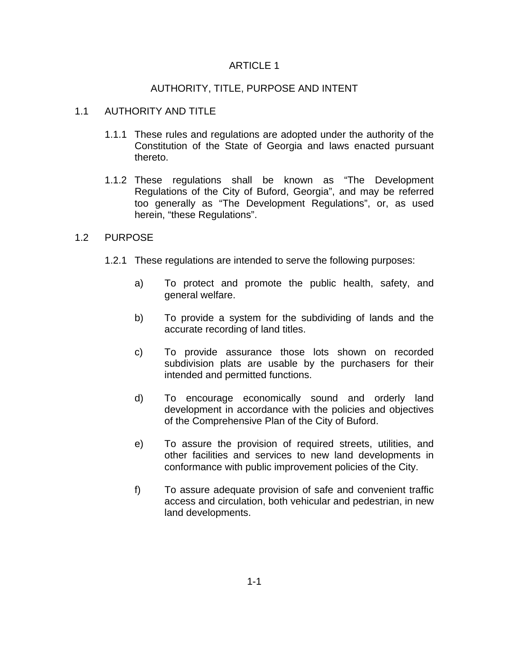## ARTICLE 1

# AUTHORITY, TITLE, PURPOSE AND INTENT

# 1.1 AUTHORITY AND TITLE

- 1.1.1 These rules and regulations are adopted under the authority of the Constitution of the State of Georgia and laws enacted pursuant thereto.
- 1.1.2 These regulations shall be known as "The Development Regulations of the City of Buford, Georgia", and may be referred too generally as "The Development Regulations", or, as used herein, "these Regulations".

## 1.2 PURPOSE

- 1.2.1 These regulations are intended to serve the following purposes:
	- a) To protect and promote the public health, safety, and general welfare.
	- b) To provide a system for the subdividing of lands and the accurate recording of land titles.
	- c) To provide assurance those lots shown on recorded subdivision plats are usable by the purchasers for their intended and permitted functions.
	- d) To encourage economically sound and orderly land development in accordance with the policies and objectives of the Comprehensive Plan of the City of Buford.
	- e) To assure the provision of required streets, utilities, and other facilities and services to new land developments in conformance with public improvement policies of the City.
	- f) To assure adequate provision of safe and convenient traffic access and circulation, both vehicular and pedestrian, in new land developments.